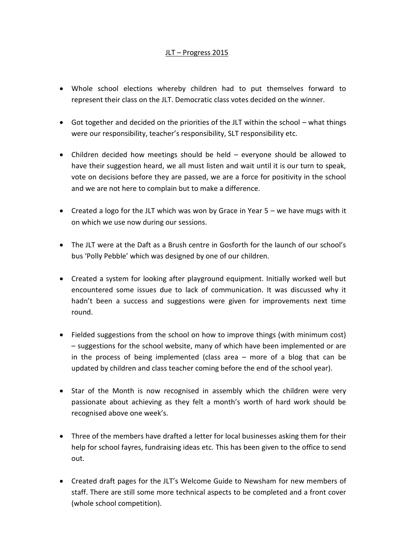## JLT – Progress 2015

- Whole school elections whereby children had to put themselves forward to represent their class on the JLT. Democratic class votes decided on the winner.
- Got together and decided on the priorities of the JLT within the school what things were our responsibility, teacher's responsibility, SLT responsibility etc.
- Children decided how meetings should be held everyone should be allowed to have their suggestion heard, we all must listen and wait until it is our turn to speak, vote on decisions before they are passed, we are a force for positivity in the school and we are not here to complain but to make a difference.
- Created a logo for the JLT which was won by Grace in Year  $5 -$  we have mugs with it on which we use now during our sessions.
- The JLT were at the Daft as a Brush centre in Gosforth for the launch of our school's bus 'Polly Pebble' which was designed by one of our children.
- Created a system for looking after playground equipment. Initially worked well but encountered some issues due to lack of communication. It was discussed why it hadn't been a success and suggestions were given for improvements next time round.
- Fielded suggestions from the school on how to improve things (with minimum cost) – suggestions for the school website, many of which have been implemented or are in the process of being implemented (class area – more of a blog that can be updated by children and class teacher coming before the end of the school year).
- Star of the Month is now recognised in assembly which the children were very passionate about achieving as they felt a month's worth of hard work should be recognised above one week's.
- Three of the members have drafted a letter for local businesses asking them for their help for school fayres, fundraising ideas etc. This has been given to the office to send out.
- Created draft pages for the JLT's Welcome Guide to Newsham for new members of staff. There are still some more technical aspects to be completed and a front cover (whole school competition).